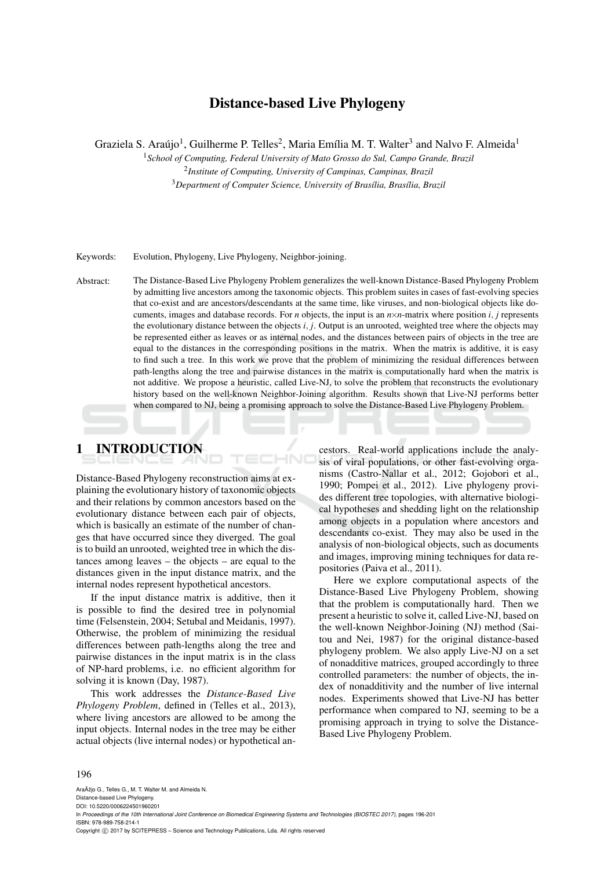## Distance-based Live Phylogeny

Graziela S. Araújo<sup>1</sup>, Guilherme P. Telles<sup>2</sup>, Maria Emília M. T. Walter<sup>3</sup> and Nalvo F. Almeida<sup>1</sup>

<sup>1</sup>*School of Computing, Federal University of Mato Grosso do Sul, Campo Grande, Brazil*

2 *Institute of Computing, University of Campinas, Campinas, Brazil* <sup>3</sup>Department of Computer Science, University of Brasília, Brasília, Brazil

Keywords: Evolution, Phylogeny, Live Phylogeny, Neighbor-joining.

Abstract: The Distance-Based Live Phylogeny Problem generalizes the well-known Distance-Based Phylogeny Problem by admitting live ancestors among the taxonomic objects. This problem suites in cases of fast-evolving species that co-exist and are ancestors/descendants at the same time, like viruses, and non-biological objects like documents, images and database records. For *n* objects, the input is an  $n \times n$ -matrix where position *i*, *j* represents the evolutionary distance between the objects *i*, *j*. Output is an unrooted, weighted tree where the objects may be represented either as leaves or as internal nodes, and the distances between pairs of objects in the tree are equal to the distances in the corresponding positions in the matrix. When the matrix is additive, it is easy to find such a tree. In this work we prove that the problem of minimizing the residual differences between path-lengths along the tree and pairwise distances in the matrix is computationally hard when the matrix is not additive. We propose a heuristic, called Live-NJ, to solve the problem that reconstructs the evolutionary history based on the well-known Neighbor-Joining algorithm. Results shown that Live-NJ performs better when compared to NJ, being a promising approach to solve the Distance-Based Live Phylogeny Problem.

1 INTRODUCTION

Distance-Based Phylogeny reconstruction aims at explaining the evolutionary history of taxonomic objects and their relations by common ancestors based on the evolutionary distance between each pair of objects, which is basically an estimate of the number of changes that have occurred since they diverged. The goal is to build an unrooted, weighted tree in which the distances among leaves – the objects – are equal to the distances given in the input distance matrix, and the internal nodes represent hypothetical ancestors.

If the input distance matrix is additive, then it is possible to find the desired tree in polynomial time (Felsenstein, 2004; Setubal and Meidanis, 1997). Otherwise, the problem of minimizing the residual differences between path-lengths along the tree and pairwise distances in the input matrix is in the class of NP-hard problems, i.e. no efficient algorithm for solving it is known (Day, 1987).

This work addresses the *Distance-Based Live Phylogeny Problem*, defined in (Telles et al., 2013), where living ancestors are allowed to be among the input objects. Internal nodes in the tree may be either actual objects (live internal nodes) or hypothetical ancestors. Real-world applications include the analysis of viral populations, or other fast-evolving organisms (Castro-Nallar et al., 2012; Gojobori et al., 1990; Pompei et al., 2012). Live phylogeny provides different tree topologies, with alternative biological hypotheses and shedding light on the relationship among objects in a population where ancestors and descendants co-exist. They may also be used in the analysis of non-biological objects, such as documents and images, improving mining techniques for data repositories (Paiva et al., 2011).

Here we explore computational aspects of the Distance-Based Live Phylogeny Problem, showing that the problem is computationally hard. Then we present a heuristic to solve it, called Live-NJ, based on the well-known Neighbor-Joining (NJ) method (Saitou and Nei, 1987) for the original distance-based phylogeny problem. We also apply Live-NJ on a set of nonadditive matrices, grouped accordingly to three controlled parameters: the number of objects, the index of nonadditivity and the number of live internal nodes. Experiments showed that Live-NJ has better performance when compared to NJ, seeming to be a promising approach in trying to solve the Distance-Based Live Phylogeny Problem.

#### 196

AraÞio G., Telles G., M. T. Walter M. and Almeida N. Distance-based Live Phylogeny. DOI: 10.5220/0006224501960201 In *Proceedings of the 10th International Joint Conference on Biomedical Engineering Systems and Technologies (BIOSTEC 2017)*, pages 196-201 ISBN: 978-989-758-214-1 Copyright © 2017 by SCITEPRESS - Science and Technology Publications, Lda. All rights reserved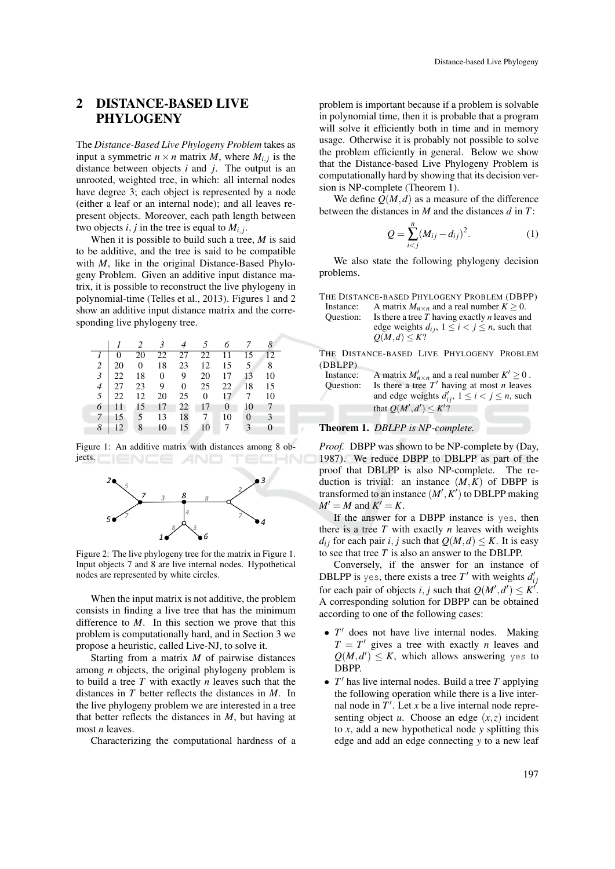## 2 DISTANCE-BASED LIVE PHYLOGENY

The *Distance-Based Live Phylogeny Problem* takes as input a symmetric  $n \times n$  matrix *M*, where  $M_{i,j}$  is the distance between objects *i* and *j*. The output is an unrooted, weighted tree, in which: all internal nodes have degree 3; each object is represented by a node (either a leaf or an internal node); and all leaves represent objects. Moreover, each path length between two objects  $i, j$  in the tree is equal to  $M_{i,j}$ .

When it is possible to build such a tree, *M* is said to be additive, and the tree is said to be compatible with *M*, like in the original Distance-Based Phylogeny Problem. Given an additive input distance matrix, it is possible to reconstruct the live phylogeny in polynomial-time (Telles et al., 2013). Figures 1 and 2 show an additive input distance matrix and the corresponding live phylogeny tree.

|   |             |    |         | 2 3 4 5 6 7 8                                          |            |                |      |
|---|-------------|----|---------|--------------------------------------------------------|------------|----------------|------|
|   | $1 \perp 0$ | 20 |         | 22 27 22 11 15 12                                      |            |                |      |
|   |             |    |         | 2 20 0 18 23 12 15 5 8                                 |            |                |      |
|   |             |    |         | $3 \mid 22 \quad 18 \quad 0 \quad 9 \quad 20 \quad 17$ |            | 13             | 10   |
|   |             |    |         | 4 27 23 9 0 25 22 18 15                                |            |                |      |
|   |             |    |         | 5 22 12 20 25 0 17 7                                   |            |                | 10   |
|   |             |    |         | 6 11 15 17 22 17 0                                     |            | 10 7           |      |
|   |             |    |         | 7   15   5   13   18   7                               |            | $10 \quad 0$   | $-3$ |
| 8 | 12          |    | 8 10 15 | 10                                                     | $\sqrt{7}$ | $\overline{3}$ |      |

Figure 1: An additive matrix with distances among 8 objects.



Figure 2: The live phylogeny tree for the matrix in Figure 1. Input objects 7 and 8 are live internal nodes. Hypothetical nodes are represented by white circles.

When the input matrix is not additive, the problem consists in finding a live tree that has the minimum difference to *M*. In this section we prove that this problem is computationally hard, and in Section 3 we propose a heuristic, called Live-NJ, to solve it.

Starting from a matrix *M* of pairwise distances among *n* objects, the original phylogeny problem is to build a tree *T* with exactly *n* leaves such that the distances in *T* better reflects the distances in *M*. In the live phylogeny problem we are interested in a tree that better reflects the distances in *M*, but having at most *n* leaves.

Characterizing the computational hardness of a

problem is important because if a problem is solvable in polynomial time, then it is probable that a program will solve it efficiently both in time and in memory usage. Otherwise it is probably not possible to solve the problem efficiently in general. Below we show that the Distance-based Live Phylogeny Problem is computationally hard by showing that its decision version is NP-complete (Theorem 1).

We define  $Q(M,d)$  as a measure of the difference between the distances in *M* and the distances *d* in *T*:

$$
Q = \sum_{i < j}^{n} (M_{ij} - d_{ij})^2. \tag{1}
$$

We also state the following phylogeny decision problems.

|           | THE DISTANCE-BASED PHYLOGENY PROBLEM (DBPP)             |
|-----------|---------------------------------------------------------|
| Instance: | A matrix $M_{n \times n}$ and a real number $K > 0$ .   |
| Ouestion: | Is there a tree $T$ having exactly $n$ leaves and       |
|           | edge weights $d_{ij}$ , $1 \le i < j \le n$ , such that |
|           | $Q(M,d) \leq K?$                                        |
|           |                                                         |

THE DISTANCE-BASED LIVE PHYLOGENY PROBLEM (DBLPP)

| Instance:        | A matrix $M'_{n \times n}$ and a real number $K' \geq 0$ . |
|------------------|------------------------------------------------------------|
| <b>Ouestion:</b> | Is there a tree $T'$ having at most <i>n</i> leaves        |
|                  | and edge weights $d'_{ij}$ , $1 \le i < j \le n$ , such    |
|                  | that $Q(M', d') \leq K'$ ?                                 |

#### Theorem 1. *DBLPP is NP-complete.*

*Proof.* DBPP was shown to be NP-complete by (Day, 1987). We reduce DBPP to DBLPP as part of the proof that DBLPP is also NP-complete. The reduction is trivial: an instance  $(M,K)$  of DBPP is transformed to an instance  $(M', K')$  to DBLPP making  $M' = M$  and  $K' = K$ .

If the answer for a DBPP instance is yes, then there is a tree *T* with exactly *n* leaves with weights *d*<sub>i</sub> for each pair *i*, *j* such that  $Q(M,d) \leq K$ . It is easy to see that tree *T* is also an answer to the DBLPP.

Conversely, if the answer for an instance of DBLPP is yes, there exists a tree  $T'$  with weights  $d'_{ij}$ for each pair of objects *i*, *j* such that  $Q(M', d') \le K'$ . A corresponding solution for DBPP can be obtained according to one of the following cases:

- $T'$  does not have live internal nodes. Making  $T = T'$  gives a tree with exactly *n* leaves and  $Q(M, d') \leq K$ , which allows answering yes to DBPP.
- $T'$  has live internal nodes. Build a tree  $T$  applying the following operation while there is a live internal node in  $T'$ . Let  $x$  be a live internal node representing object *u*. Choose an edge  $(x, z)$  incident to *x*, add a new hypothetical node *y* splitting this edge and add an edge connecting *y* to a new leaf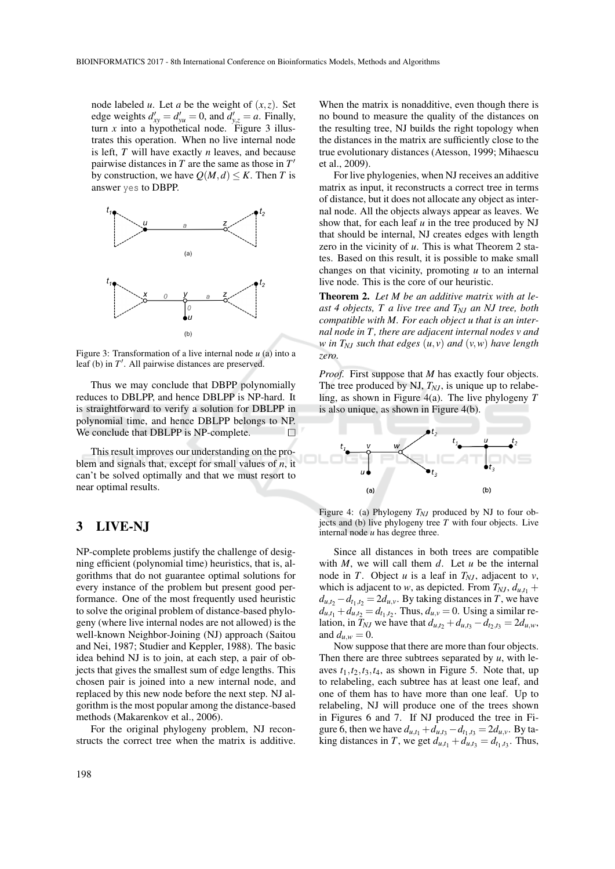node labeled *u*. Let *a* be the weight of  $(x, z)$ . Set edge weights  $d'_{xy} = d'_{yu} = 0$ , and  $d'_{y,z} = a$ . Finally, turn  $x$  into a hypothetical node. Figure 3 illustrates this operation. When no live internal node is left, *T* will have exactly *n* leaves, and because pairwise distances in *T* are the same as those in *T* 0 by construction, we have  $Q(M,d) \leq K$ . Then *T* is answer yes to DBPP.



Figure 3: Transformation of a live internal node *u* (a) into a leaf (b) in  $T'$ . All pairwise distances are preserved.

Thus we may conclude that DBPP polynomially reduces to DBLPP, and hence DBLPP is NP-hard. It is straightforward to verify a solution for DBLPP in polynomial time, and hence DBLPP belongs to NP. We conclude that DBLPP is NP-complete.  $\Box$ 

This result improves our understanding on the problem and signals that, except for small values of *n*, it can't be solved optimally and that we must resort to near optimal results.

## 3 LIVE-NJ

NP-complete problems justify the challenge of designing efficient (polynomial time) heuristics, that is, algorithms that do not guarantee optimal solutions for every instance of the problem but present good performance. One of the most frequently used heuristic to solve the original problem of distance-based phylogeny (where live internal nodes are not allowed) is the well-known Neighbor-Joining (NJ) approach (Saitou and Nei, 1987; Studier and Keppler, 1988). The basic idea behind NJ is to join, at each step, a pair of objects that gives the smallest sum of edge lengths. This chosen pair is joined into a new internal node, and replaced by this new node before the next step. NJ algorithm is the most popular among the distance-based methods (Makarenkov et al., 2006).

For the original phylogeny problem, NJ reconstructs the correct tree when the matrix is additive.

198

When the matrix is nonadditive, even though there is no bound to measure the quality of the distances on the resulting tree, NJ builds the right topology when the distances in the matrix are sufficiently close to the true evolutionary distances (Atesson, 1999; Mihaescu et al., 2009).

For live phylogenies, when NJ receives an additive matrix as input, it reconstructs a correct tree in terms of distance, but it does not allocate any object as internal node. All the objects always appear as leaves. We show that, for each leaf *u* in the tree produced by NJ that should be internal, NJ creates edges with length zero in the vicinity of *u*. This is what Theorem 2 states. Based on this result, it is possible to make small changes on that vicinity, promoting *u* to an internal live node. This is the core of our heuristic.

Theorem 2. *Let M be an additive matrix with at least 4 objects, T a live tree and TNJ an NJ tree, both compatible with M. For each object u that is an internal node in T , there are adjacent internal nodes v and w in TNJ such that edges* (*u*, *v*) *and* (*v*,*w*) *have length zero.*

*Proof.* First suppose that *M* has exactly four objects. The tree produced by NJ,  $T_{NJ}$ , is unique up to relabeling, as shown in Figure 4(a). The live phylogeny *T* is also unique, as shown in Figure 4(b).



Figure 4: (a) Phylogeny  $T_{NJ}$  produced by NJ to four objects and (b) live phylogeny tree *T* with four objects. Live internal node *u* has degree three.

Since all distances in both trees are compatible with *M*, we will call them *d*. Let *u* be the internal node in *T*. Object *u* is a leaf in  $T_{NI}$ , adjacent to *v*, which is adjacent to *w*, as depicted. From  $T_{NJ}$ ,  $d_{u,t_1}$  +  $d_{u,t_2} - d_{t_1,t_2} = 2d_{u,v}$ . By taking distances in *T*, we have  $d_{u,t_1} + d_{u,t_2} = d_{t_1,t_2}$ . Thus,  $d_{u,v} = 0$ . Using a similar relation, in  $T_{NJ}$  we have that  $d_{u,t_2} + d_{u,t_3} - d_{t_2,t_3} = 2d_{u,w}$ , and  $d_{u,w} = 0$ .

Now suppose that there are more than four objects. Then there are three subtrees separated by  $u$ , with leaves  $t_1$ , $t_2$ , $t_3$ , $t_4$ , as shown in Figure 5. Note that, up to relabeling, each subtree has at least one leaf, and one of them has to have more than one leaf. Up to relabeling, NJ will produce one of the trees shown in Figures 6 and 7. If NJ produced the tree in Figure 6, then we have  $d_{u,t_1} + d_{u,t_3} - d_{t_1,t_3} = 2d_{u,v}$ . By ta- $\lim_{t \to \infty}$  distances in *T*, we get  $d_{u,t_1} + d_{u,t_3} = d_{t_1,t_3}$ . Thus,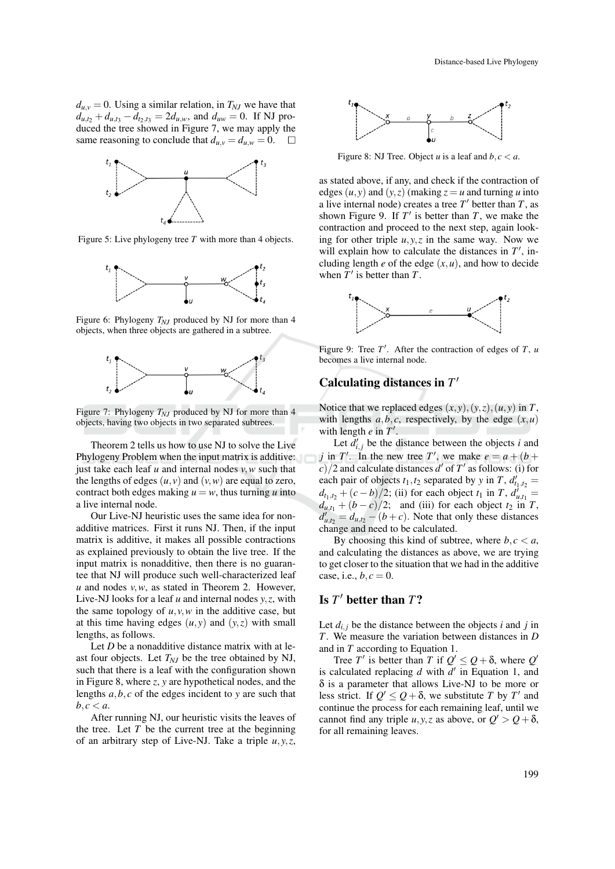$d_{u,v} = 0$ . Using a similar relation, in  $T_{NJ}$  we have that  $d_{u,t_2} + d_{u,t_3} - d_{t_2,t_3} = 2d_{u,w}$ , and  $d_{uw} = 0$ . If NJ produced the tree showed in Figure 7, we may apply the same reasoning to conclude that  $d_{u,v} = d_{u,w} = 0$ .  $\Box$ 



Figure 5: Live phylogeny tree *T* with more than 4 objects.



Figure 6: Phylogeny *TNJ* produced by NJ for more than 4 objects, when three objects are gathered in a subtree.



Figure 7: Phylogeny  $T_{NJ}$  produced by NJ for more than 4 objects, having two objects in two separated subtrees.

Theorem 2 tells us how to use NJ to solve the Live Phylogeny Problem when the input matrix is additive: just take each leaf *u* and internal nodes *v*,*w* such that the lengths of edges  $(u, v)$  and  $(v, w)$  are equal to zero, contract both edges making  $u = w$ , thus turning *u* into a live internal node.

Our Live-NJ heuristic uses the same idea for nonadditive matrices. First it runs NJ. Then, if the input matrix is additive, it makes all possible contractions as explained previously to obtain the live tree. If the input matrix is nonadditive, then there is no guarantee that NJ will produce such well-characterized leaf *u* and nodes *v*,*w*, as stated in Theorem 2. However, Live-NJ looks for a leaf *u* and internal nodes *y*,*z*, with the same topology of  $u, v, w$  in the additive case, but at this time having edges  $(u, y)$  and  $(y, z)$  with small lengths, as follows.

Let *D* be a nonadditive distance matrix with at least four objects. Let *TNJ* be the tree obtained by NJ, such that there is a leaf with the configuration shown in Figure 8, where *z*, *y* are hypothetical nodes, and the lengths *a*,*b*, *c* of the edges incident to *y* are such that  $b, c < a$ .

After running NJ, our heuristic visits the leaves of the tree. Let  $T$  be the current tree at the beginning of an arbitrary step of Live-NJ. Take a triple *u*, *y*,*z*,



Figure 8: NJ Tree. Object *u* is a leaf and  $b, c < a$ .

as stated above, if any, and check if the contraction of edges  $(u, y)$  and  $(y, z)$  (making  $z = u$  and turning *u* into a live internal node) creates a tree  $T'$  better than  $T$ , as shown Figure 9. If  $T'$  is better than  $T$ , we make the contraction and proceed to the next step, again looking for other triple  $u, y, z$  in the same way. Now we will explain how to calculate the distances in  $T'$ , including length  $e$  of the edge  $(x, u)$ , and how to decide when  $T'$  is better than  $T$ .



Figure 9: Tree  $T'$ . After the contraction of edges of  $T$ , *u* becomes a live internal node.

## Calculating distances in *T* 0

Notice that we replaced edges  $(x, y)$ ,  $(y, z)$ ,  $(u, y)$  in *T*, with lengths  $a, b, c$ , respectively, by the edge  $(x, u)$ with length  $e$  in  $T'$ .

Let  $d'_{i,j}$  be the distance between the objects *i* and *j* in *T*<sup>'</sup>. In the new tree *T*<sup>'</sup>, we make  $e = a + (b + b)$  $\frac{c}{2}$  and calculate distances *d'* of *T'* as follows: (i) for each pair of objects  $t_1$ ,  $t_2$  separated by *y* in  $T$ ,  $d'_{t_1,t_2}$  =  $d_{t_1,t_2} + (c - b)/2$ ; (ii) for each object *t*<sub>1</sub> in *T*,  $d'_{u,t_1} =$  $d_{u,t_1} + (b - c)/2$ ; and (iii) for each object  $t_2$  in *T*,  $d'_{u,t_2} = d_{u,t_2} - (b + c)$ . Note that only these distances change and need to be calculated.

By choosing this kind of subtree, where  $b, c < a$ , and calculating the distances as above, we are trying to get closer to the situation that we had in the additive case, i.e.,  $b, c = 0$ .

## Is  $T'$  better than  $T$ ?

Let  $d_{i,j}$  be the distance between the objects *i* and *j* in *T*. We measure the variation between distances in *D* and in *T* according to Equation 1.

Tree *T*' is better than *T* if  $Q' \leq Q + \delta$ , where *Q*' is calculated replacing  $d$  with  $d'$  in Equation 1, and δ is a parameter that allows Live-NJ to be more or less strict. If  $Q' \leq Q + \delta$ , we substitute *T* by *T'* and continue the process for each remaining leaf, until we cannot find any triple  $u, y, z$  as above, or  $Q' > Q + \delta$ , for all remaining leaves.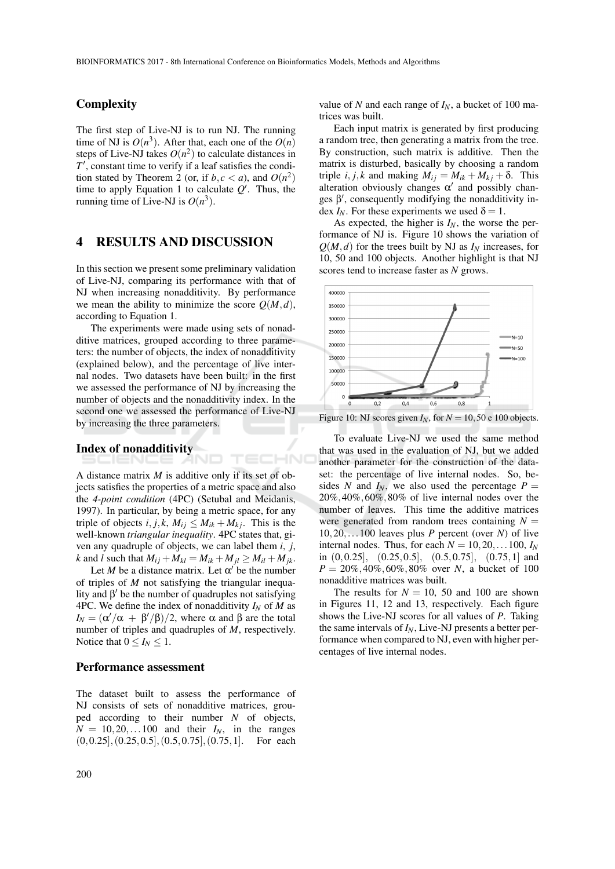TECHNO

### **Complexity**

The first step of Live-NJ is to run NJ. The running time of NJ is  $O(n^3)$ . After that, each one of the  $O(n)$ steps of Live-NJ takes  $O(n^2)$  to calculate distances in *T*<sup>'</sup>, constant time to verify if a leaf satisfies the condition stated by Theorem 2 (or, if  $b, c < a$ ), and  $O(n^2)$ time to apply Equation 1 to calculate  $Q'$ . Thus, the running time of Live-NJ is  $O(n^3)$ .

#### 4 RESULTS AND DISCUSSION

In this section we present some preliminary validation of Live-NJ, comparing its performance with that of NJ when increasing nonadditivity. By performance we mean the ability to minimize the score  $Q(M, d)$ , according to Equation 1.

The experiments were made using sets of nonadditive matrices, grouped according to three parameters: the number of objects, the index of nonadditivity (explained below), and the percentage of live internal nodes. Two datasets have been built: in the first we assessed the performance of NJ by increasing the number of objects and the nonadditivity index. In the second one we assessed the performance of Live-NJ by increasing the three parameters.

#### Index of nonadditivity

A distance matrix *M* is additive only if its set of objects satisfies the properties of a metric space and also the *4-point condition* (4PC) (Setubal and Meidanis, 1997). In particular, by being a metric space, for any triple of objects *i*, *j*, *k*,  $M_{ij} \leq M_{ik} + M_{kj}$ . This is the well-known *triangular inequality*. 4PC states that, given any quadruple of objects, we can label them *i*, *j*,  $k$  and *l* such that  $M_{ij} + M_{kl} = M_{ik} + M_{jl} \ge M_{il} + M_{jk}$ .

Let *M* be a distance matrix. Let  $\alpha'$  be the number of triples of *M* not satisfying the triangular inequality and  $\beta'$  be the number of quadruples not satisfying 4PC. We define the index of nonadditivity  $I_N$  of M as  $I_N = (\alpha'/\alpha + \beta'/\beta)/2$ , where α and β are the total number of triples and quadruples of *M*, respectively. Notice that  $0 \le I_N \le 1$ .

#### Performance assessment

The dataset built to assess the performance of NJ consists of sets of nonadditive matrices, grouped according to their number *N* of objects,  $N = 10, 20, \ldots 100$  and their  $I_N$ , in the ranges  $(0,0.25]$ ,  $(0.25,0.5]$ ,  $(0.5,0.75]$ ,  $(0.75,1]$ . For each

value of *N* and each range of *IN*, a bucket of 100 matrices was built.

Each input matrix is generated by first producing a random tree, then generating a matrix from the tree. By construction, such matrix is additive. Then the matrix is disturbed, basically by choosing a random triple *i*, *j*, *k* and making  $M_{ij} = M_{ik} + M_{ki} + \delta$ . This alteration obviously changes  $\alpha'$  and possibly changes  $\beta'$ , consequently modifying the nonadditivity index  $I_N$ . For these experiments we used  $\delta = 1$ .

As expected, the higher is  $I_N$ , the worse the performance of NJ is. Figure 10 shows the variation of  $Q(M,d)$  for the trees built by NJ as  $I_N$  increases, for 10, 50 and 100 objects. Another highlight is that NJ scores tend to increase faster as *N* grows.



Figure 10: NJ scores given  $I_N$ , for  $N = 10,50$  e 100 objects.

To evaluate Live-NJ we used the same method that was used in the evaluation of NJ, but we added another parameter for the construction of the dataset: the percentage of live internal nodes. So, besides *N* and  $I_N$ , we also used the percentage  $P =$ 20%,40%,60%,80% of live internal nodes over the number of leaves. This time the additive matrices were generated from random trees containing  $N =$ 10,20,...100 leaves plus *P* percent (over *N*) of live internal nodes. Thus, for each  $N = 10, 20, \ldots 100$ ,  $I_N$ in  $(0,0.25]$ ,  $(0.25,0.5]$ ,  $(0.5,0.75]$ ,  $(0.75,1]$  and *P* = 20%,40%,60%,80% over *N*, a bucket of 100 nonadditive matrices was built.

The results for  $N = 10$ , 50 and 100 are shown in Figures 11, 12 and 13, respectively. Each figure shows the Live-NJ scores for all values of *P*. Taking the same intervals of *IN*, Live-NJ presents a better performance when compared to NJ, even with higher percentages of live internal nodes.